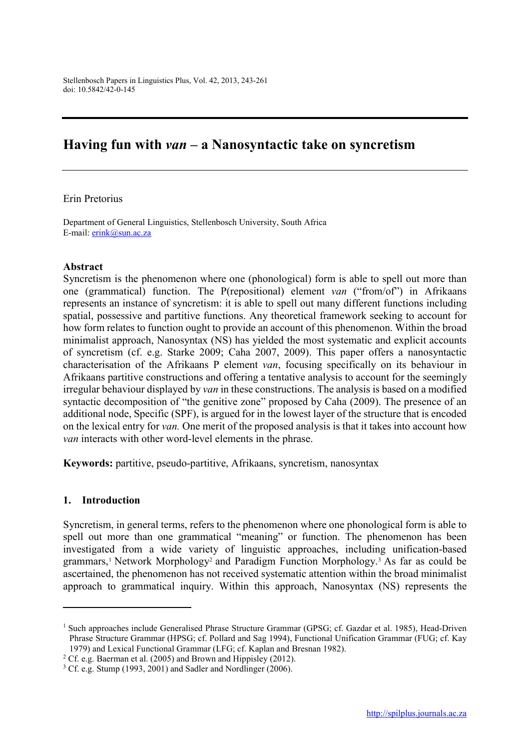# Having fun with *van* – a Nanosyntactic take on syncretism

#### Erin Pretorius

Department of General Linguistics, Stellenbosch University, South Africa E-mail: erink@sun.ac.za

#### Abstract

Syncretism is the phenomenon where one (phonological) form is able to spell out more than one (grammatical) function. The P(repositional) element *van* ("from/of") in Afrikaans represents an instance of syncretism: it is able to spell out many different functions including spatial, possessive and partitive functions. Any theoretical framework seeking to account for how form relates to function ought to provide an account of this phenomenon. Within the broad minimalist approach, Nanosyntax (NS) has yielded the most systematic and explicit accounts of syncretism (cf. e.g. Starke 2009; Caha 2007, 2009). This paper offers a nanosyntactic characterisation of the Afrikaans P element *van*, focusing specifically on its behaviour in Afrikaans partitive constructions and offering a tentative analysis to account for the seemingly irregular behaviour displayed by *van* in these constructions. The analysis is based on a modified syntactic decomposition of "the genitive zone" proposed by Caha (2009). The presence of an additional node, Specific (SPF), is argued for in the lowest layer of the structure that is encoded on the lexical entry for *van.* One merit of the proposed analysis is that it takes into account how *van* interacts with other word-level elements in the phrase.

Keywords: partitive, pseudo-partitive, Afrikaans, syncretism, nanosyntax

#### 1. Introduction

1

Syncretism, in general terms, refers to the phenomenon where one phonological form is able to spell out more than one grammatical "meaning" or function. The phenomenon has been investigated from a wide variety of linguistic approaches, including unification-based grammars,<sup>1</sup> Network Morphology<sup>2</sup> and Paradigm Function Morphology.<sup>3</sup> As far as could be ascertained, the phenomenon has not received systematic attention within the broad minimalist approach to grammatical inquiry. Within this approach, Nanosyntax (NS) represents the

<sup>&</sup>lt;sup>1</sup> Such approaches include Generalised Phrase Structure Grammar (GPSG; cf. Gazdar et al. 1985), Head-Driven Phrase Structure Grammar (HPSG; cf. Pollard and Sag 1994), Functional Unification Grammar (FUG; cf. Kay 1979) and Lexical Functional Grammar (LFG; cf. Kaplan and Bresnan 1982).

<sup>&</sup>lt;sup>2</sup> Cf. e.g. Baerman et al. (2005) and Brown and Hippisley (2012).

 $3 \text{ Cf.}$  e.g. Stump (1993, 2001) and Sadler and Nordlinger (2006).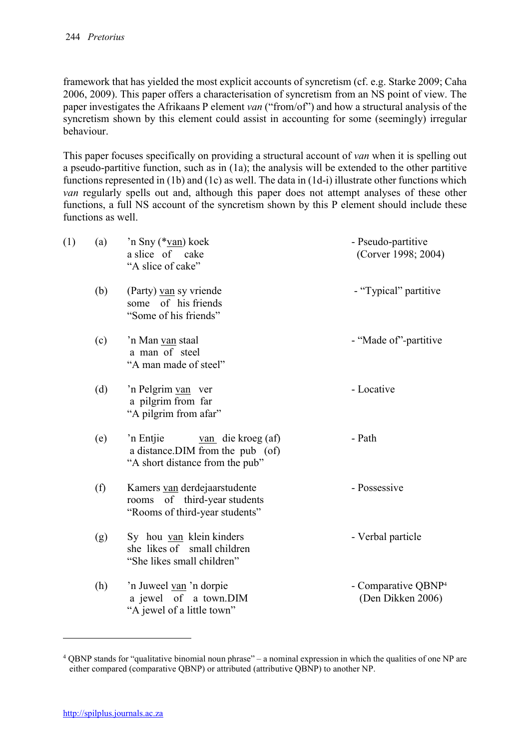framework that has yielded the most explicit accounts of syncretism (cf. e.g. Starke 2009; Caha 2006, 2009). This paper offers a characterisation of syncretism from an NS point of view. The paper investigates the Afrikaans P element *van* ("from/of") and how a structural analysis of the syncretism shown by this element could assist in accounting for some (seemingly) irregular behaviour.

This paper focuses specifically on providing a structural account of *van* when it is spelling out a pseudo-partitive function, such as in (1a); the analysis will be extended to the other partitive functions represented in (1b) and (1c) as well. The data in (1d-i) illustrate other functions which *van* regularly spells out and, although this paper does not attempt analyses of these other functions, a full NS account of the syncretism shown by this P element should include these functions as well.

| (1) | (a) | 'n Sny (*van) koek<br>a slice of cake<br>"A slice of cake"                                                | - Pseudo-partitive<br>(Corver 1998; 2004)            |  |  |  |
|-----|-----|-----------------------------------------------------------------------------------------------------------|------------------------------------------------------|--|--|--|
|     | (b) | (Party) van sy vriende<br>some of his friends<br>"Some of his friends"                                    | - "Typical" partitive                                |  |  |  |
|     | (c) | 'n Man van staal<br>a man of steel<br>"A man made of steel"                                               | - "Made of"-partitive                                |  |  |  |
|     | (d) | 'n Pelgrim van ver<br>a pilgrim from far<br>"A pilgrim from afar"                                         | - Locative                                           |  |  |  |
|     | (e) | $van$ die kroeg (af)<br>'n Entjie<br>a distance. DIM from the pub (of)<br>"A short distance from the pub" | - Path                                               |  |  |  |
|     | (f) | Kamers van derdejaarstudente<br>rooms of third-year students<br>"Rooms of third-year students"            | - Possessive                                         |  |  |  |
|     | (g) | Sy hou van klein kinders<br>she likes of small children<br>"She likes small children"                     | - Verbal particle                                    |  |  |  |
|     | (h) | 'n Juweel van 'n dorpie<br>a jewel of a town.DIM<br>"A jewel of a little town"                            | - Comparative QBNP <sup>4</sup><br>(Den Dikken 2006) |  |  |  |

<sup>4</sup> QBNP stands for "qualitative binomial noun phrase" – a nominal expression in which the qualities of one NP are either compared (comparative QBNP) or attributed (attributive QBNP) to another NP.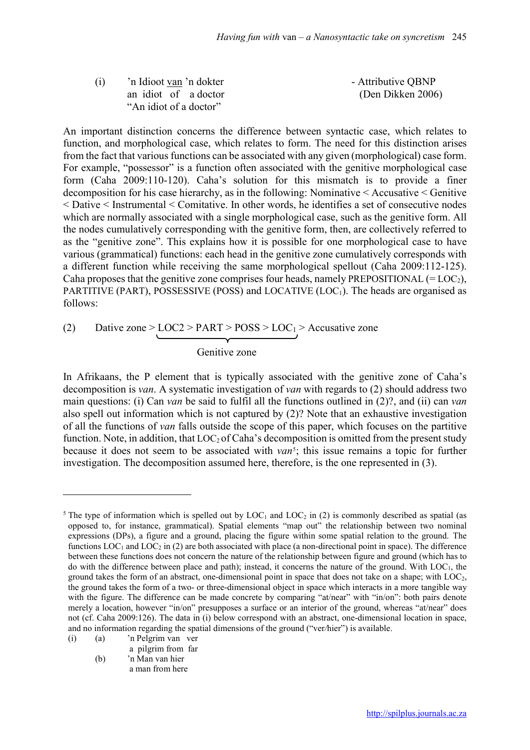| (i) | 'n Idioot van 'n dokter | - Attributive QBNP |
|-----|-------------------------|--------------------|
|     | an idiot of a doctor    | (Den Dikken 2006)  |
|     | "An idiot of a doctor"  |                    |

An important distinction concerns the difference between syntactic case, which relates to function, and morphological case, which relates to form. The need for this distinction arises from the fact that various functions can be associated with any given (morphological) case form. For example, "possessor" is a function often associated with the genitive morphological case form (Caha 2009:110-120). Caha's solution for this mismatch is to provide a finer decomposition for his case hierarchy, as in the following: Nominative < Accusative < Genitive < Dative < Instrumental < Comitative. In other words, he identifies a set of consecutive nodes which are normally associated with a single morphological case, such as the genitive form. All the nodes cumulatively corresponding with the genitive form, then, are collectively referred to as the "genitive zone". This explains how it is possible for one morphological case to have various (grammatical) functions: each head in the genitive zone cumulatively corresponds with a different function while receiving the same morphological spellout (Caha 2009:112-125). Caha proposes that the genitive zone comprises four heads, namely PREPOSITIONAL  $(= LOC_2)$ , PARTITIVE (PART), POSSESSIVE (POSS) and LOCATIVE (LOC<sub>1</sub>). The heads are organised as follows:

(2) Dative zone > LOC2 > PART > POSS > LOC<sub>1</sub> > Accusative zone

Genitive zone

In Afrikaans, the P element that is typically associated with the genitive zone of Caha's decomposition is *van*. A systematic investigation of *van* with regards to (2) should address two main questions: (i) Can *van* be said to fulfil all the functions outlined in (2)?, and (ii) can *van* also spell out information which is not captured by (2)? Note that an exhaustive investigation of all the functions of *van* falls outside the scope of this paper, which focuses on the partitive function. Note, in addition, that  $LOC_2$  of Caha's decomposition is omitted from the present study because it does not seem to be associated with *van*<sup>5</sup>; this issue remains a topic for further investigation. The decomposition assumed here, therefore, is the one represented in (3).

(i) (a) 'n Pelgrim van ver

**.** 

a pilgrim from far (b) 'n Man van hier

a man from here

<sup>&</sup>lt;sup>5</sup> The type of information which is spelled out by LOC<sub>1</sub> and LOC<sub>2</sub> in (2) is commonly described as spatial (as opposed to, for instance, grammatical). Spatial elements "map out" the relationship between two nominal expressions (DPs), a figure and a ground, placing the figure within some spatial relation to the ground. The functions  $LOC_1$  and  $LOC_2$  in (2) are both associated with place (a non-directional point in space). The difference between these functions does not concern the nature of the relationship between figure and ground (which has to do with the difference between place and path); instead, it concerns the nature of the ground. With LOC1, the ground takes the form of an abstract, one-dimensional point in space that does not take on a shape; with LOC2, the ground takes the form of a two- or three-dimensional object in space which interacts in a more tangible way with the figure. The difference can be made concrete by comparing "at/near" with "in/on": both pairs denote merely a location, however "in/on" presupposes a surface or an interior of the ground, whereas "at/near" does not (cf. Caha 2009:126). The data in (i) below correspond with an abstract, one-dimensional location in space, and no information regarding the spatial dimensions of the ground ("ver*/*hier") is available.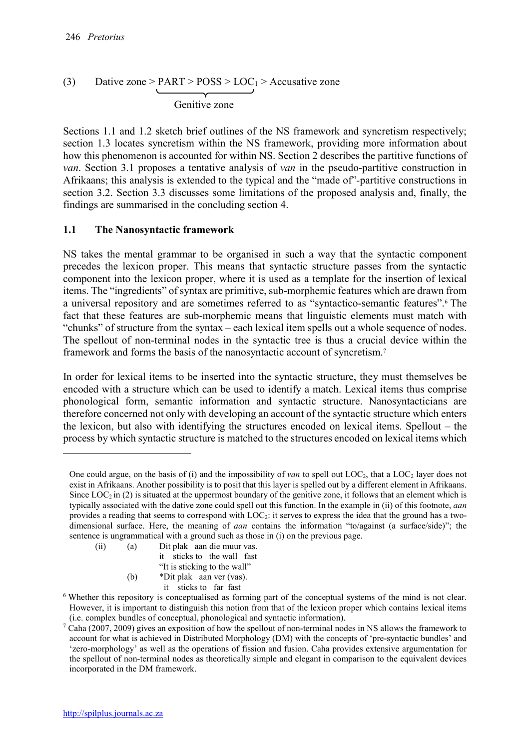#### (3) Dative zone > PART >  $POSS > LOC<sub>1</sub>$  > Accusative zone  $\overbrace{\hspace{2.5cm}}$ Genitive zone

Sections 1.1 and 1.2 sketch brief outlines of the NS framework and syncretism respectively; section 1.3 locates syncretism within the NS framework, providing more information about how this phenomenon is accounted for within NS. Section 2 describes the partitive functions of *van*. Section 3.1 proposes a tentative analysis of *van* in the pseudo-partitive construction in Afrikaans; this analysis is extended to the typical and the "made of"*-*partitive constructions in section 3.2. Section 3.3 discusses some limitations of the proposed analysis and, finally, the findings are summarised in the concluding section 4.

# 1.1 The Nanosyntactic framework

NS takes the mental grammar to be organised in such a way that the syntactic component precedes the lexicon proper. This means that syntactic structure passes from the syntactic component into the lexicon proper, where it is used as a template for the insertion of lexical items. The "ingredients" of syntax are primitive, sub-morphemic features which are drawn from a universal repository and are sometimes referred to as "syntactico-semantic features".6 The fact that these features are sub-morphemic means that linguistic elements must match with "chunks" of structure from the syntax – each lexical item spells out a whole sequence of nodes. The spellout of non-terminal nodes in the syntactic tree is thus a crucial device within the framework and forms the basis of the nanosyntactic account of syncretism.7

In order for lexical items to be inserted into the syntactic structure, they must themselves be encoded with a structure which can be used to identify a match. Lexical items thus comprise phonological form, semantic information and syntactic structure. Nanosyntacticians are therefore concerned not only with developing an account of the syntactic structure which enters the lexicon, but also with identifying the structures encoded on lexical items. Spellout – the process by which syntactic structure is matched to the structures encoded on lexical items which

- (ii) (a) Dit plak aan die muur vas. it sticks to the wall fast "It is sticking to the wall"
	- (b) \*Dit plak aan ver (vas).
		- it sticks to far fast

One could argue, on the basis of (i) and the impossibility of *van* to spell out LOC2, that a LOC2 layer does not exist in Afrikaans. Another possibility is to posit that this layer is spelled out by a different element in Afrikaans. Since  $LOC_2$  in (2) is situated at the uppermost boundary of the genitive zone, it follows that an element which is typically associated with the dative zone could spell out this function. In the example in (ii) of this footnote, *aan* provides a reading that seems to correspond with LOC2: it serves to express the idea that the ground has a twodimensional surface. Here, the meaning of *aan* contains the information "to/against (a surface/side)"; the sentence is ungrammatical with a ground such as those in (i) on the previous page.

<sup>&</sup>lt;sup>6</sup> Whether this repository is conceptualised as forming part of the conceptual systems of the mind is not clear. However, it is important to distinguish this notion from that of the lexicon proper which contains lexical items (i.e. complex bundles of conceptual, phonological and syntactic information).

 $7$  Caha (2007, 2009) gives an exposition of how the spellout of non-terminal nodes in NS allows the framework to account for what is achieved in Distributed Morphology (DM) with the concepts of 'pre-syntactic bundles' and 'zero-morphology' as well as the operations of fission and fusion. Caha provides extensive argumentation for the spellout of non-terminal nodes as theoretically simple and elegant in comparison to the equivalent devices incorporated in the DM framework.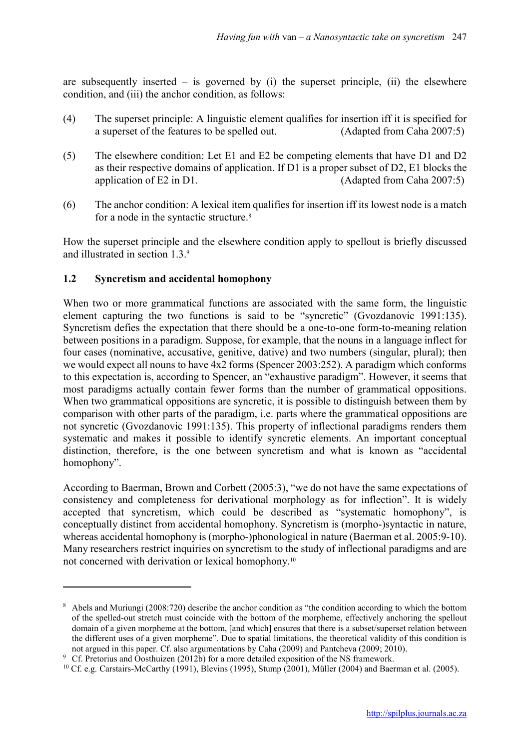are subsequently inserted – is governed by (i) the superset principle, (ii) the elsewhere condition, and (iii) the anchor condition, as follows:

- (4) The superset principle: A linguistic element qualifies for insertion iff it is specified for a superset of the features to be spelled out. (Adapted from Caha 2007:5)
- (5) The elsewhere condition: Let E1 and E2 be competing elements that have D1 and D2 as their respective domains of application. If D1 is a proper subset of D2, E1 blocks the application of E2 in D1. (Adapted from Caha 2007:5)
- (6) The anchor condition: A lexical item qualifies for insertion iff its lowest node is a match for a node in the syntactic structure.<sup>8</sup>

How the superset principle and the elsewhere condition apply to spellout is briefly discussed and illustrated in section 1.3.9

### 1.2 Syncretism and accidental homophony

**.** 

When two or more grammatical functions are associated with the same form, the linguistic element capturing the two functions is said to be "syncretic" (Gvozdanovic 1991:135). Syncretism defies the expectation that there should be a one-to-one form-to-meaning relation between positions in a paradigm. Suppose, for example, that the nouns in a language inflect for four cases (nominative, accusative, genitive, dative) and two numbers (singular, plural); then we would expect all nouns to have 4x2 forms (Spencer 2003:252). A paradigm which conforms to this expectation is, according to Spencer, an "exhaustive paradigm". However, it seems that most paradigms actually contain fewer forms than the number of grammatical oppositions. When two grammatical oppositions are syncretic, it is possible to distinguish between them by comparison with other parts of the paradigm, i.e. parts where the grammatical oppositions are not syncretic (Gvozdanovic 1991:135). This property of inflectional paradigms renders them systematic and makes it possible to identify syncretic elements. An important conceptual distinction, therefore, is the one between syncretism and what is known as "accidental homophony".

According to Baerman, Brown and Corbett (2005:3), "we do not have the same expectations of consistency and completeness for derivational morphology as for inflection". It is widely accepted that syncretism, which could be described as "systematic homophony", is conceptually distinct from accidental homophony. Syncretism is (morpho-)syntactic in nature, whereas accidental homophony is (morpho-)phonological in nature (Baerman et al. 2005:9-10). Many researchers restrict inquiries on syncretism to the study of inflectional paradigms and are not concerned with derivation or lexical homophony.10

<sup>8</sup> Abels and Muriungi (2008:720) describe the anchor condition as "the condition according to which the bottom of the spelled-out stretch must coincide with the bottom of the morpheme, effectively anchoring the spellout domain of a given morpheme at the bottom, [and which] ensures that there is a subset/superset relation between the different uses of a given morpheme". Due to spatial limitations, the theoretical validity of this condition is not argued in this paper. Cf. also argumentations by Caha (2009) and Pantcheva (2009; 2010).

<sup>&</sup>lt;sup>9</sup> Cf. Pretorius and Oosthuizen (2012b) for a more detailed exposition of the NS framework.

<sup>10</sup> Cf. e.g. Carstairs-McCarthy (1991), Blevins (1995), Stump (2001), Müller (2004) and Baerman et al. (2005).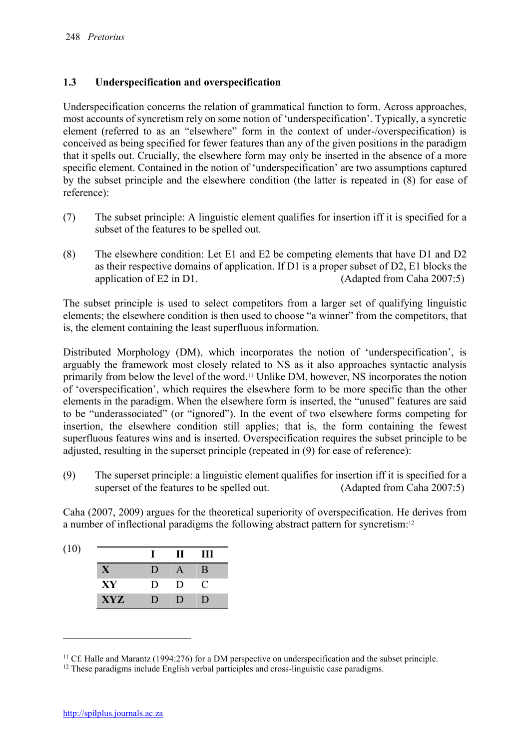### 1.3 Underspecification and overspecification

Underspecification concerns the relation of grammatical function to form. Across approaches, most accounts of syncretism rely on some notion of 'underspecification'. Typically, a syncretic element (referred to as an "elsewhere" form in the context of under-/overspecification) is conceived as being specified for fewer features than any of the given positions in the paradigm that it spells out. Crucially, the elsewhere form may only be inserted in the absence of a more specific element. Contained in the notion of 'underspecification' are two assumptions captured by the subset principle and the elsewhere condition (the latter is repeated in (8) for ease of reference):

- (7) The subset principle: A linguistic element qualifies for insertion iff it is specified for a subset of the features to be spelled out.
- (8) The elsewhere condition: Let E1 and E2 be competing elements that have D1 and D2 as their respective domains of application. If D1 is a proper subset of D2, E1 blocks the application of E2 in D1. (Adapted from Caha 2007:5)

The subset principle is used to select competitors from a larger set of qualifying linguistic elements; the elsewhere condition is then used to choose "a winner" from the competitors, that is, the element containing the least superfluous information.

Distributed Morphology (DM), which incorporates the notion of 'underspecification', is arguably the framework most closely related to NS as it also approaches syntactic analysis primarily from below the level of the word.11 Unlike DM, however, NS incorporates the notion of 'overspecification', which requires the elsewhere form to be more specific than the other elements in the paradigm. When the elsewhere form is inserted, the "unused" features are said to be "underassociated" (or "ignored"). In the event of two elsewhere forms competing for insertion, the elsewhere condition still applies; that is, the form containing the fewest superfluous features wins and is inserted. Overspecification requires the subset principle to be adjusted, resulting in the superset principle (repeated in (9) for ease of reference):

(9) The superset principle: a linguistic element qualifies for insertion iff it is specified for a superset of the features to be spelled out. (Adapted from Caha 2007:5)

Caha (2007, 2009) argues for the theoretical superiority of overspecification. He derives from a number of inflectional paradigms the following abstract pattern for syncretism:12

| (10) |              |                | $\bf H$ | Ш              |
|------|--------------|----------------|---------|----------------|
|      | $\mathbf{X}$ | ו ו            |         | B              |
|      | XY           | $\blacksquare$ | D       | C              |
|      | <b>XYZ</b>   | $\blacksquare$ | $\Box$  | $\blacksquare$ |

 $11$  Cf. Halle and Marantz (1994:276) for a DM perspective on underspecification and the subset principle.

<sup>&</sup>lt;sup>12</sup> These paradigms include English verbal participles and cross-linguistic case paradigms.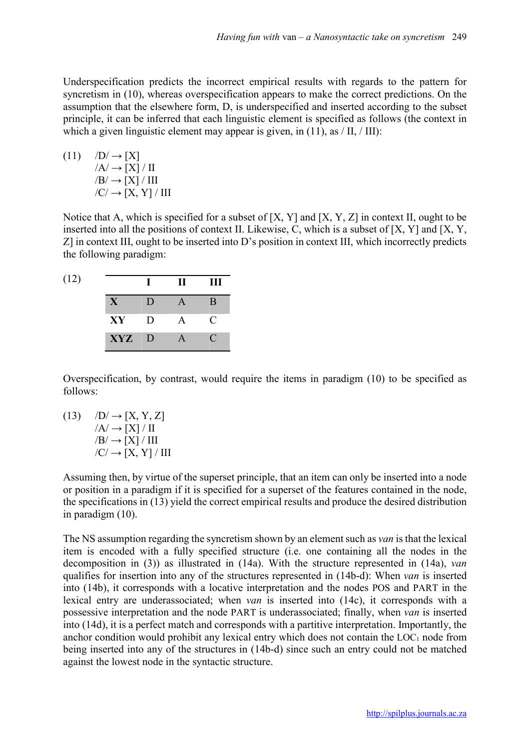Underspecification predicts the incorrect empirical results with regards to the pattern for syncretism in (10), whereas overspecification appears to make the correct predictions. On the assumption that the elsewhere form, D, is underspecified and inserted according to the subset principle, it can be inferred that each linguistic element is specified as follows (the context in which a given linguistic element may appear is given, in  $(11)$ , as  $/$  II,  $/$  III):

(11) 
$$
D \rightarrow [X]
$$

$$
/A \rightarrow [X] / II
$$

$$
/B \rightarrow [X] / III
$$

$$
/C \rightarrow [X, Y] / III
$$

Notice that A, which is specified for a subset of [X, Y] and [X, Y, Z] in context II, ought to be inserted into all the positions of context II. Likewise, C, which is a subset of [X, Y] and [X, Y, Z] in context III, ought to be inserted into D's position in context III, which incorrectly predicts the following paradigm:

| (12) |          |        | $\mathbf H$ | Ш           |
|------|----------|--------|-------------|-------------|
|      | X        | D      |             | B           |
|      | $\bf XY$ | $\Box$ | A           | C           |
|      | XYZ D    |        | A           | $\mathbf C$ |

Overspecification, by contrast, would require the items in paradigm (10) to be specified as follows:

(13)  $/D \rightarrow [X, Y, Z]$  $/A/\rightarrow$  [X] / II  $/B/\rightarrow$  [X] / III  $/C \rightarrow [X, Y] / III$ 

Assuming then, by virtue of the superset principle, that an item can only be inserted into a node or position in a paradigm if it is specified for a superset of the features contained in the node, the specifications in (13) yield the correct empirical results and produce the desired distribution in paradigm (10).

The NS assumption regarding the syncretism shown by an element such as *van* is that the lexical item is encoded with a fully specified structure (i.e. one containing all the nodes in the decomposition in (3)) as illustrated in (14a). With the structure represented in (14a), *van*  qualifies for insertion into any of the structures represented in (14b-d): When *van* is inserted into (14b), it corresponds with a locative interpretation and the nodes POS and PART in the lexical entry are underassociated; when *van* is inserted into (14c), it corresponds with a possessive interpretation and the node PART is underassociated; finally, when *van* is inserted into (14d), it is a perfect match and corresponds with a partitive interpretation. Importantly, the anchor condition would prohibit any lexical entry which does not contain the  $LOC_1$  node from being inserted into any of the structures in (14b-d) since such an entry could not be matched against the lowest node in the syntactic structure.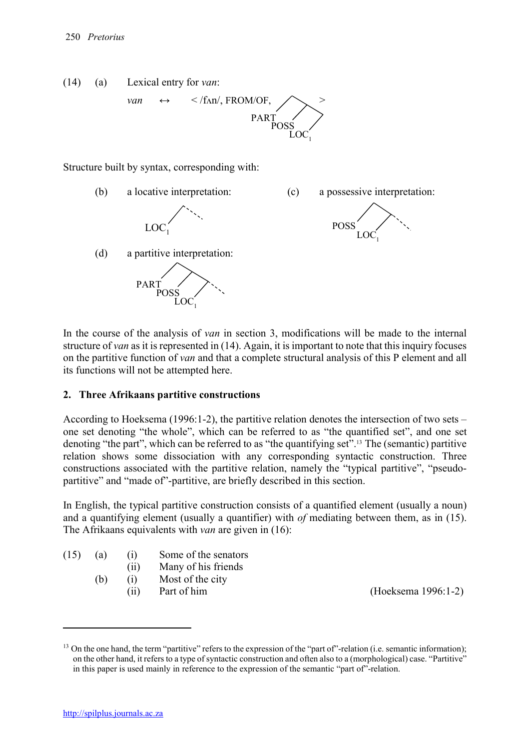

Structure built by syntax, corresponding with:



In the course of the analysis of *van* in section 3, modifications will be made to the internal structure of *van* as it is represented in (14). Again, it is important to note that this inquiry focuses on the partitive function of *van* and that a complete structural analysis of this P element and all its functions will not be attempted here.

### 2. Three Afrikaans partitive constructions

According to Hoeksema (1996:1-2), the partitive relation denotes the intersection of two sets – one set denoting "the whole", which can be referred to as "the quantified set", and one set denoting "the part", which can be referred to as "the quantifying set".13 The (semantic) partitive relation shows some dissociation with any corresponding syntactic construction. Three constructions associated with the partitive relation, namely the "typical partitive", "pseudopartitive" and "made of"-partitive, are briefly described in this section.

In English, the typical partitive construction consists of a quantified element (usually a noun) and a quantifying element (usually a quantifier) with *of* mediating between them, as in (15). The Afrikaans equivalents with *van* are given in (16):

| (15) | (a) | (i) | Some of the senators |
|------|-----|-----|----------------------|
|------|-----|-----|----------------------|

- (ii) Many of his friends
- (b) (i) Most of the city
	-

(ii) Part of him (Hoeksema 1996:1-2)

**.** 

<sup>&</sup>lt;sup>13</sup> On the one hand, the term "partitive" refers to the expression of the "part of"-relation (i.e. semantic information); on the other hand, it refers to a type of syntactic construction and often also to a (morphological) case. "Partitive" in this paper is used mainly in reference to the expression of the semantic "part of"-relation.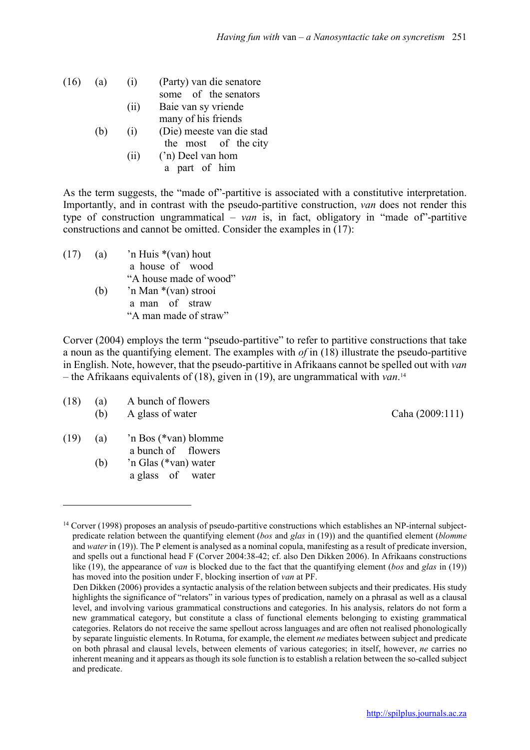| $(16)$ (a) |     | (1)  | (Party) van die senatore  |  |  |
|------------|-----|------|---------------------------|--|--|
|            |     |      | some of the senators      |  |  |
|            |     | (ii) | Baie van sy vriende       |  |  |
|            |     |      | many of his friends       |  |  |
|            | (b) | (1)  | (Die) meeste van die stad |  |  |
|            |     |      | the most of the city      |  |  |
|            |     | (11) | ('n) Deel van hom         |  |  |
|            |     |      | a part of him             |  |  |
|            |     |      |                           |  |  |

As the term suggests, the "made of"-partitive is associated with a constitutive interpretation. Importantly, and in contrast with the pseudo-partitive construction, *van* does not render this type of construction ungrammatical – *van* is, in fact, obligatory in "made of"-partitive constructions and cannot be omitted. Consider the examples in (17):

(17) (a)  $\lambda$  'n Huis \*(van) hout a house of wood "A house made of wood" (b) 'n Man \*(van) strooi a man of straw "A man made of straw"

Corver (2004) employs the term "pseudo-partitive" to refer to partitive constructions that take a noun as the quantifying element. The examples with *of* in (18) illustrate the pseudo-partitive in English. Note, however, that the pseudo-partitive in Afrikaans cannot be spelled out with *van* – the Afrikaans equivalents of (18), given in (19), are ungrammatical with *van*. 14

(18) (a) A bunch of flowers (b) A glass of water Caha  $(2009:111)$ 

(19) (a) 'n Bos (\*van) blomme a bunch of flowers

**.** 

(b) 'n Glas (\*van) water a glass of water

<sup>&</sup>lt;sup>14</sup> Corver (1998) proposes an analysis of pseudo-partitive constructions which establishes an NP-internal subjectpredicate relation between the quantifying element (*bos* and *glas* in (19)) and the quantified element (*blomme*  and *water* in (19)). The P element is analysed as a nominal copula, manifesting as a result of predicate inversion, and spells out a functional head F (Corver 2004:38-42; cf. also Den Dikken 2006). In Afrikaans constructions like (19), the appearance of *van* is blocked due to the fact that the quantifying element (*bos* and *glas* in (19)) has moved into the position under F, blocking insertion of *van* at PF.

Den Dikken (2006) provides a syntactic analysis of the relation between subjects and their predicates. His study highlights the significance of "relators" in various types of predication, namely on a phrasal as well as a clausal level, and involving various grammatical constructions and categories. In his analysis, relators do not form a new grammatical category, but constitute a class of functional elements belonging to existing grammatical categories. Relators do not receive the same spellout across languages and are often not realised phonologically by separate linguistic elements. In Rotuma, for example, the element *ne* mediates between subject and predicate on both phrasal and clausal levels, between elements of various categories; in itself, however, *ne* carries no inherent meaning and it appears as though its sole function is to establish a relation between the so-called subject and predicate.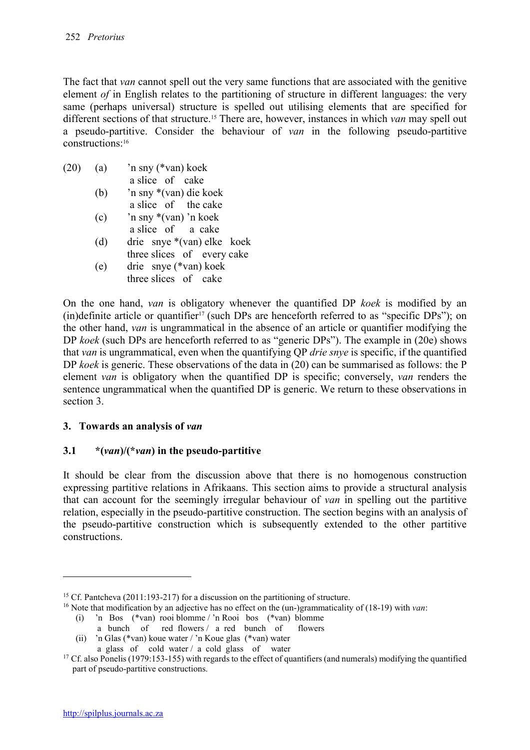The fact that *van* cannot spell out the very same functions that are associated with the genitive element *of* in English relates to the partitioning of structure in different languages: the very same (perhaps universal) structure is spelled out utilising elements that are specified for different sections of that structure.15 There are, however, instances in which *van* may spell out a pseudo-partitive. Consider the behaviour of *van* in the following pseudo-partitive constructions:16

- (20) (a) 'n sny (\*van) koek a slice of cake (b) 'n sny \*(van) die koek
	- a slice of the cake
	- (c) 'n sny \*(van) 'n koek a slice of a cake
	- (d) drie snye \*(van) elke koek three slices of every cake
	- (e) drie snye (\*van) koek three slices of cake

On the one hand, *van* is obligatory whenever the quantified DP *koek* is modified by an (in)definite article or quantifier<sup>17</sup> (such DPs are henceforth referred to as "specific DPs"); on the other hand, *van* is ungrammatical in the absence of an article or quantifier modifying the DP *koek* (such DPs are henceforth referred to as "generic DPs"). The example in (20e) shows that *van* is ungrammatical, even when the quantifying QP *drie snye* is specific, if the quantified DP *koek* is generic. These observations of the data in (20) can be summarised as follows: the P element *van* is obligatory when the quantified DP is specific; conversely, *van* renders the sentence ungrammatical when the quantified DP is generic. We return to these observations in section 3.

# 3. Towards an analysis of *van*

# 3.1 \*(*van*)/(\**van*) in the pseudo-partitive

It should be clear from the discussion above that there is no homogenous construction expressing partitive relations in Afrikaans. This section aims to provide a structural analysis that can account for the seemingly irregular behaviour of *van* in spelling out the partitive relation, especially in the pseudo-partitive construction. The section begins with an analysis of the pseudo-partitive construction which is subsequently extended to the other partitive constructions.

**.** 

<sup>&</sup>lt;sup>15</sup> Cf. Pantcheva (2011:193-217) for a discussion on the partitioning of structure.

<sup>16</sup> Note that modification by an adjective has no effect on the (un-)grammaticality of (18-19) with *van*:

<sup>(</sup>i) 'n Bos (\*van) rooi blomme / 'n Rooi bos (\*van) blomme

a bunch of red flowers / a red bunch of flowers

<sup>(</sup>ii) 'n Glas (\*van) koue water / 'n Koue glas (\*van) water

a glass of cold water / a cold glass of water

<sup>&</sup>lt;sup>17</sup> Cf. also Ponelis (1979:153-155) with regards to the effect of quantifiers (and numerals) modifying the quantified part of pseudo-partitive constructions.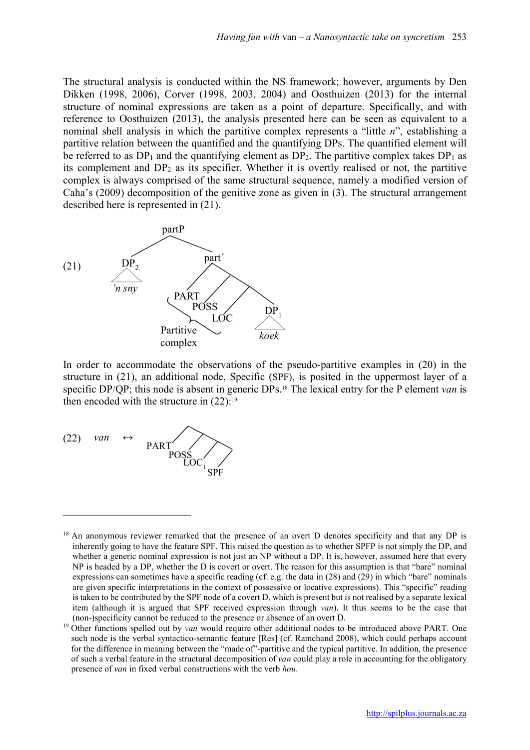The structural analysis is conducted within the NS framework; however, arguments by Den Dikken (1998, 2006), Corver (1998, 2003, 2004) and Oosthuizen (2013) for the internal structure of nominal expressions are taken as a point of departure. Specifically, and with reference to Oosthuizen (2013), the analysis presented here can be seen as equivalent to a nominal shell analysis in which the partitive complex represents a "little *n*", establishing a partitive relation between the quantified and the quantifying DPs. The quantified element will be referred to as  $DP_1$  and the quantifying element as  $DP_2$ . The partitive complex takes  $DP_1$  as its complement and DP2 as its specifier. Whether it is overtly realised or not, the partitive complex is always comprised of the same structural sequence, namely a modified version of Caha's (2009) decomposition of the genitive zone as given in (3). The structural arrangement described here is represented in (21).



In order to accommodate the observations of the pseudo-partitive examples in (20) in the structure in (21), an additional node, Specific (SPF), is posited in the uppermost layer of a specific DP/QP; this node is absent in generic DPs.18 The lexical entry for the P element *van* is then encoded with the structure in  $(22)$ :<sup>19</sup>



<sup>&</sup>lt;sup>18</sup> An anonymous reviewer remarked that the presence of an overt D denotes specificity and that any DP is inherently going to have the feature SPF. This raised the question as to whether SPFP is not simply the DP, and whether a generic nominal expression is not just an NP without a DP. It is, however, assumed here that every NP is headed by a DP, whether the D is covert or overt. The reason for this assumption is that "bare" nominal expressions can sometimes have a specific reading (cf. e.g. the data in (28) and (29) in which "bare" nominals are given specific interpretations in the context of possessive or locative expressions). This "specific" reading is taken to be contributed by the SPF node of a covert D, which is present but is not realised by a separate lexical item (although it is argued that SPF received expression through *van*). It thus seems to be the case that (non-)specificity cannot be reduced to the presence or absence of an overt D.

<sup>&</sup>lt;sup>19</sup> Other functions spelled out by *van* would require other additional nodes to be introduced above PART. One such node is the verbal syntactico-semantic feature [Res] (cf. Ramchand 2008), which could perhaps account for the difference in meaning between the "made of"-partitive and the typical partitive. In addition, the presence of such a verbal feature in the structural decomposition of *van* could play a role in accounting for the obligatory presence of *van* in fixed verbal constructions with the verb *hou*.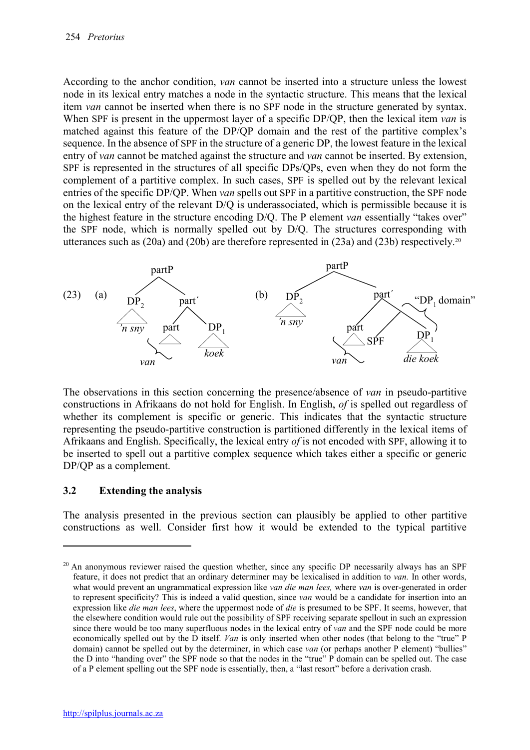According to the anchor condition, *van* cannot be inserted into a structure unless the lowest node in its lexical entry matches a node in the syntactic structure. This means that the lexical item *van* cannot be inserted when there is no SPF node in the structure generated by syntax. When SPF is present in the uppermost layer of a specific DP/QP, then the lexical item *van* is matched against this feature of the DP/QP domain and the rest of the partitive complex's sequence. In the absence of SPF in the structure of a generic DP, the lowest feature in the lexical entry of *van* cannot be matched against the structure and *van* cannot be inserted. By extension, SPF is represented in the structures of all specific DPs/QPs, even when they do not form the complement of a partitive complex. In such cases, SPF is spelled out by the relevant lexical entries of the specific DP/QP. When *van* spells out SPF in a partitive construction, the SPF node on the lexical entry of the relevant D/Q is underassociated, which is permissible because it is the highest feature in the structure encoding D/Q. The P element *van* essentially "takes over" the SPF node, which is normally spelled out by D/Q. The structures corresponding with utterances such as  $(20a)$  and  $(20b)$  are therefore represented in  $(23a)$  and  $(23b)$  respectively.<sup>20</sup>



The observations in this section concerning the presence/absence of *van* in pseudo-partitive constructions in Afrikaans do not hold for English. In English, *of* is spelled out regardless of whether its complement is specific or generic. This indicates that the syntactic structure representing the pseudo-partitive construction is partitioned differently in the lexical items of Afrikaans and English. Specifically, the lexical entry *of* is not encoded with SPF, allowing it to be inserted to spell out a partitive complex sequence which takes either a specific or generic DP/QP as a complement.

### 3.2 Extending the analysis

1

The analysis presented in the previous section can plausibly be applied to other partitive constructions as well. Consider first how it would be extended to the typical partitive

<sup>&</sup>lt;sup>20</sup> An anonymous reviewer raised the question whether, since any specific DP necessarily always has an SPF feature, it does not predict that an ordinary determiner may be lexicalised in addition to *van.* In other words, what would prevent an ungrammatical expression like *van die man lees,* where *van* is over-generated in order to represent specificity? This is indeed a valid question, since *van* would be a candidate for insertion into an expression like *die man lees*, where the uppermost node of *die* is presumed to be SPF. It seems, however, that the elsewhere condition would rule out the possibility of SPF receiving separate spellout in such an expression since there would be too many superfluous nodes in the lexical entry of *van* and the SPF node could be more economically spelled out by the D itself. *Van* is only inserted when other nodes (that belong to the "true" P domain) cannot be spelled out by the determiner, in which case *van* (or perhaps another P element) "bullies" the D into "handing over" the SPF node so that the nodes in the "true" P domain can be spelled out. The case of a P element spelling out the SPF node is essentially, then, a "last resort" before a derivation crash.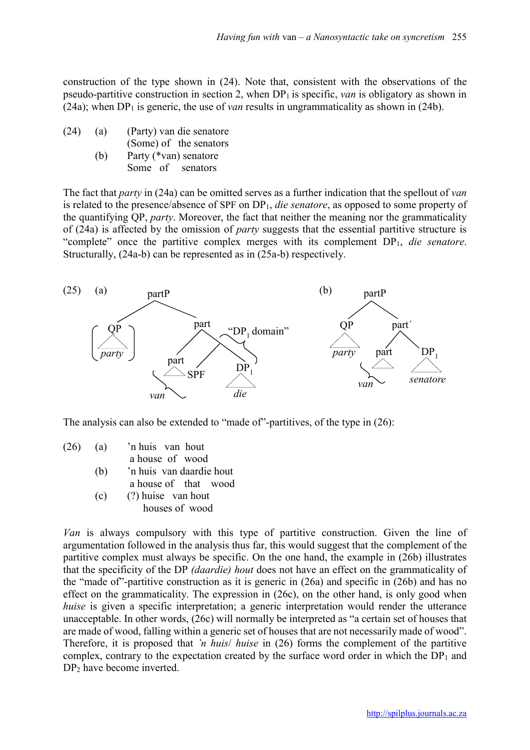construction of the type shown in (24). Note that, consistent with the observations of the pseudo-partitive construction in section 2, when DP1 is specific, *van* is obligatory as shown in (24a); when  $DP_1$  is generic, the use of *van* results in ungrammaticality as shown in (24b).

(24) (a) (Party) van die senatore (Some) of the senators (b) Party (\*van) senatore Some of senators

The fact that *party* in (24a) can be omitted serves as a further indication that the spellout of *van*  is related to the presence/absence of SPF on DP1, *die senatore*, as opposed to some property of the quantifying QP, *party*. Moreover, the fact that neither the meaning nor the grammaticality of (24a) is affected by the omission of *party* suggests that the essential partitive structure is "complete" once the partitive complex merges with its complement DP1, *die senatore*. Structurally, (24a-b) can be represented as in (25a-b) respectively.



The analysis can also be extended to "made of"-partitives, of the type in (26):

- (26) (a) 'n huis van hout a house of wood
	- (b) 'n huis van daardie hout
	- a house of that wood (c) (?) huise van hout houses of wood

*Van* is always compulsory with this type of partitive construction. Given the line of argumentation followed in the analysis thus far, this would suggest that the complement of the partitive complex must always be specific. On the one hand, the example in (26b) illustrates that the specificity of the DP *(daardie) hout* does not have an effect on the grammaticality of the "made of"-partitive construction as it is generic in (26a) and specific in (26b) and has no effect on the grammaticality. The expression in (26c), on the other hand, is only good when *huise* is given a specific interpretation; a generic interpretation would render the utterance unacceptable. In other words, (26c) will normally be interpreted as "a certain set of houses that are made of wood, falling within a generic set of houses that are not necessarily made of wood". Therefore, it is proposed that *'n huis*/ *huise* in (26) forms the complement of the partitive complex, contrary to the expectation created by the surface word order in which the  $DP_1$  and DP<sub>2</sub> have become inverted.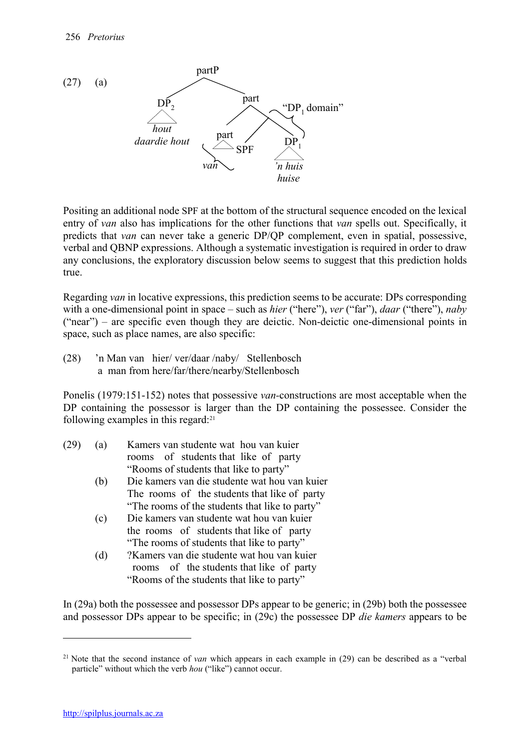

Positing an additional node SPF at the bottom of the structural sequence encoded on the lexical entry of *van* also has implications for the other functions that *van* spells out. Specifically, it predicts that *van* can never take a generic DP/QP complement, even in spatial, possessive, verbal and QBNP expressions. Although a systematic investigation is required in order to draw any conclusions, the exploratory discussion below seems to suggest that this prediction holds true.

Regarding *van* in locative expressions, this prediction seems to be accurate: DPs corresponding with a one-dimensional point in space – such as *hier* ("here"), *ver* ("far"), *daar* ("there"), *naby*  ("near") – are specific even though they are deictic. Non-deictic one-dimensional points in space, such as place names, are also specific:

(28) 'n Man van hier/ ver/daar /naby/ Stellenbosch a man from here/far/there/nearby/Stellenbosch

Ponelis (1979:151-152) notes that possessive *van-*constructions are most acceptable when the DP containing the possessor is larger than the DP containing the possessee. Consider the following examples in this regard:21

| (29) | (a) |  | Kamers van studente wat hou van kuier  |  |  |
|------|-----|--|----------------------------------------|--|--|
|      |     |  | rooms of students that like of party   |  |  |
|      |     |  | "Rooms of students that like to party" |  |  |

- (b) Die kamers van die studente wat hou van kuier The rooms of the students that like of party "The rooms of the students that like to party"
- (c) Die kamers van studente wat hou van kuier the rooms of students that like of party "The rooms of students that like to party"
- (d) ?Kamers van die studente wat hou van kuier rooms of the students that like of party "Rooms of the students that like to party"

In (29a) both the possessee and possessor DPs appear to be generic; in (29b) both the possessee and possessor DPs appear to be specific; in (29c) the possessee DP *die kamers* appears to be

<sup>&</sup>lt;sup>21</sup> Note that the second instance of *van* which appears in each example in (29) can be described as a "verbal" particle" without which the verb *hou* ("like") cannot occur.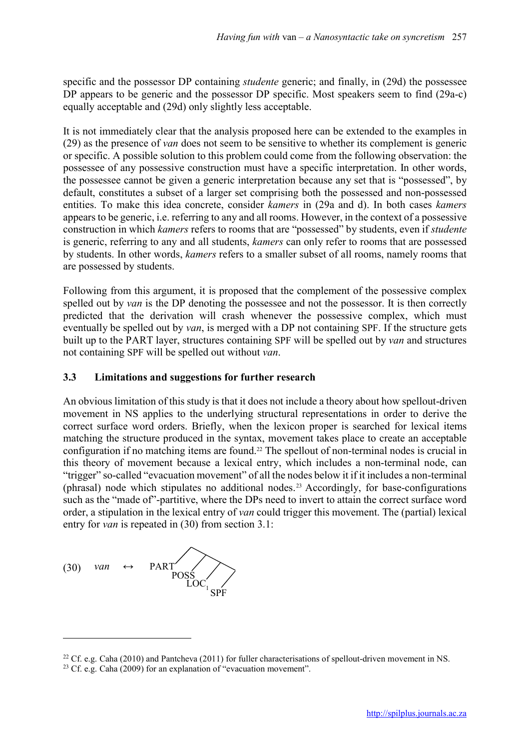specific and the possessor DP containing *studente* generic; and finally, in (29d) the possessee DP appears to be generic and the possessor DP specific. Most speakers seem to find (29a-c) equally acceptable and (29d) only slightly less acceptable.

It is not immediately clear that the analysis proposed here can be extended to the examples in (29) as the presence of *van* does not seem to be sensitive to whether its complement is generic or specific. A possible solution to this problem could come from the following observation: the possessee of any possessive construction must have a specific interpretation. In other words, the possessee cannot be given a generic interpretation because any set that is "possessed", by default, constitutes a subset of a larger set comprising both the possessed and non-possessed entities. To make this idea concrete, consider *kamers* in (29a and d). In both cases *kamers* appears to be generic, i.e. referring to any and all rooms. However, in the context of a possessive construction in which *kamers* refers to rooms that are "possessed" by students, even if *studente*  is generic, referring to any and all students, *kamers* can only refer to rooms that are possessed by students. In other words, *kamers* refers to a smaller subset of all rooms, namely rooms that are possessed by students.

Following from this argument, it is proposed that the complement of the possessive complex spelled out by *van* is the DP denoting the possessee and not the possessor. It is then correctly predicted that the derivation will crash whenever the possessive complex, which must eventually be spelled out by *van*, is merged with a DP not containing SPF. If the structure gets built up to the PART layer, structures containing SPF will be spelled out by *van* and structures not containing SPF will be spelled out without *van*.

# 3.3 Limitations and suggestions for further research

An obvious limitation of this study is that it does not include a theory about how spellout-driven movement in NS applies to the underlying structural representations in order to derive the correct surface word orders. Briefly, when the lexicon proper is searched for lexical items matching the structure produced in the syntax, movement takes place to create an acceptable configuration if no matching items are found.22 The spellout of non-terminal nodes is crucial in this theory of movement because a lexical entry, which includes a non-terminal node, can "trigger" so-called "evacuation movement" of all the nodes below it if it includes a non-terminal (phrasal) node which stipulates no additional nodes.23 Accordingly, for base-configurations such as the "made of"-partitive, where the DPs need to invert to attain the correct surface word order, a stipulation in the lexical entry of *van* could trigger this movement. The (partial) lexical entry for *van* is repeated in (30) from section 3.1:

$$
(30) \quad \text{van} \quad \leftrightarrow \quad \text{PART} \quad \text{POSS} \quad \text{LOC}_1 \quad \text{SPF}
$$

<sup>&</sup>lt;sup>22</sup> Cf. e.g. Caha (2010) and Pantcheva (2011) for fuller characterisations of spellout-driven movement in NS.

<sup>&</sup>lt;sup>23</sup> Cf. e.g. Caha  $(2009)$  for an explanation of "evacuation movement".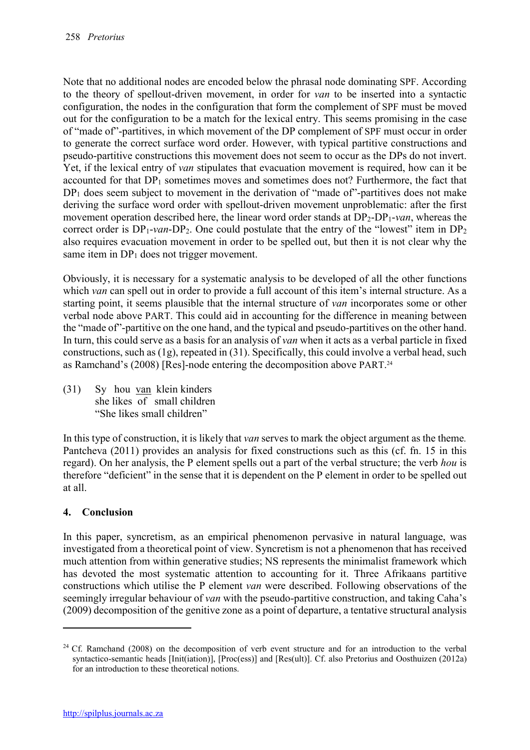Note that no additional nodes are encoded below the phrasal node dominating SPF. According to the theory of spellout-driven movement, in order for *van* to be inserted into a syntactic configuration, the nodes in the configuration that form the complement of SPF must be moved out for the configuration to be a match for the lexical entry. This seems promising in the case of "made of"-partitives, in which movement of the DP complement of SPF must occur in order to generate the correct surface word order. However, with typical partitive constructions and pseudo-partitive constructions this movement does not seem to occur as the DPs do not invert. Yet, if the lexical entry of *van* stipulates that evacuation movement is required, how can it be accounted for that  $DP_1$  sometimes moves and sometimes does not? Furthermore, the fact that  $DP_1$  does seem subject to movement in the derivation of "made of"-partitives does not make deriving the surface word order with spellout-driven movement unproblematic: after the first movement operation described here, the linear word order stands at DP2-DP1-*van*, whereas the correct order is  $DP_1$ -*van*- $DP_2$ . One could postulate that the entry of the "lowest" item in  $DP_2$ also requires evacuation movement in order to be spelled out, but then it is not clear why the same item in  $DP_1$  does not trigger movement.

Obviously, it is necessary for a systematic analysis to be developed of all the other functions which *van* can spell out in order to provide a full account of this item's internal structure. As a starting point, it seems plausible that the internal structure of *van* incorporates some or other verbal node above PART. This could aid in accounting for the difference in meaning between the "made of"-partitive on the one hand, and the typical and pseudo-partitives on the other hand. In turn, this could serve as a basis for an analysis of *van* when it acts as a verbal particle in fixed constructions, such as (1g), repeated in (31). Specifically, this could involve a verbal head, such as Ramchand's (2008) [Res]-node entering the decomposition above PART.<sup>24</sup>

(31) Sy hou van klein kinders she likes of small children "She likes small children"

In this type of construction, it is likely that *van* serves to mark the object argument as the theme*.*  Pantcheva (2011) provides an analysis for fixed constructions such as this (cf. fn. 15 in this regard). On her analysis, the P element spells out a part of the verbal structure; the verb *hou* is therefore "deficient" in the sense that it is dependent on the P element in order to be spelled out at all.

# 4. Conclusion

**.** 

In this paper, syncretism, as an empirical phenomenon pervasive in natural language, was investigated from a theoretical point of view. Syncretism is not a phenomenon that has received much attention from within generative studies; NS represents the minimalist framework which has devoted the most systematic attention to accounting for it. Three Afrikaans partitive constructions which utilise the P element *van* were described. Following observations of the seemingly irregular behaviour of *van* with the pseudo-partitive construction, and taking Caha's (2009) decomposition of the genitive zone as a point of departure, a tentative structural analysis

 $24$  Cf. Ramchand (2008) on the decomposition of verb event structure and for an introduction to the verbal syntactico-semantic heads [Init(iation)], [Proc(ess)] and [Res(ult)]. Cf. also Pretorius and Oosthuizen (2012a) for an introduction to these theoretical notions.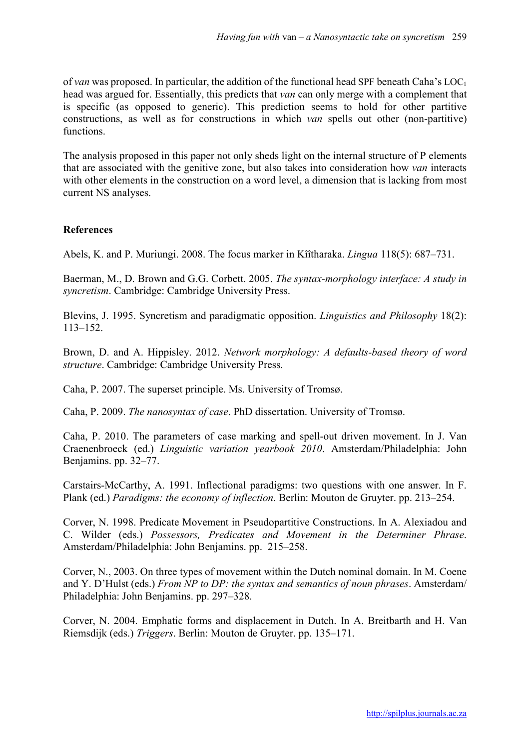of *van* was proposed. In particular, the addition of the functional head SPF beneath Caha's LOC1 head was argued for. Essentially, this predicts that *van* can only merge with a complement that is specific (as opposed to generic). This prediction seems to hold for other partitive constructions, as well as for constructions in which *van* spells out other (non-partitive) functions.

The analysis proposed in this paper not only sheds light on the internal structure of P elements that are associated with the genitive zone, but also takes into consideration how *van* interacts with other elements in the construction on a word level, a dimension that is lacking from most current NS analyses.

#### References

Abels, K. and P. Muriungi. 2008. The focus marker in Kîîtharaka. *Lingua* 118(5): 687–731.

Baerman, M., D. Brown and G.G. Corbett. 2005. *The syntax-morphology interface: A study in syncretism*. Cambridge: Cambridge University Press.

Blevins, J. 1995. Syncretism and paradigmatic opposition. *Linguistics and Philosophy* 18(2): 113–152.

Brown, D. and A. Hippisley. 2012. *Network morphology: A defaults-based theory of word structure*. Cambridge: Cambridge University Press.

Caha, P. 2007. The superset principle. Ms. University of Tromsø.

Caha, P. 2009. *The nanosyntax of case*. PhD dissertation. University of Tromsø.

Caha, P. 2010. The parameters of case marking and spell-out driven movement. In J. Van Craenenbroeck (ed.) *Linguistic variation yearbook 2010*. Amsterdam/Philadelphia: John Benjamins. pp. 32–77.

Carstairs-McCarthy, A. 1991. Inflectional paradigms: two questions with one answer. In F. Plank (ed.) *Paradigms: the economy of inflection*. Berlin: Mouton de Gruyter. pp. 213–254.

Corver, N. 1998. Predicate Movement in Pseudopartitive Constructions. In A. Alexiadou and C. Wilder (eds.) *Possessors, Predicates and Movement in the Determiner Phrase*. Amsterdam/Philadelphia: John Benjamins. pp. 215–258.

Corver, N., 2003. On three types of movement within the Dutch nominal domain. In M. Coene and Y. D'Hulst (eds.) *From NP to DP: the syntax and semantics of noun phrases*. Amsterdam/ Philadelphia: John Benjamins. pp. 297–328.

Corver, N. 2004. Emphatic forms and displacement in Dutch. In A. Breitbarth and H. Van Riemsdijk (eds.) *Triggers*. Berlin: Mouton de Gruyter. pp. 135–171.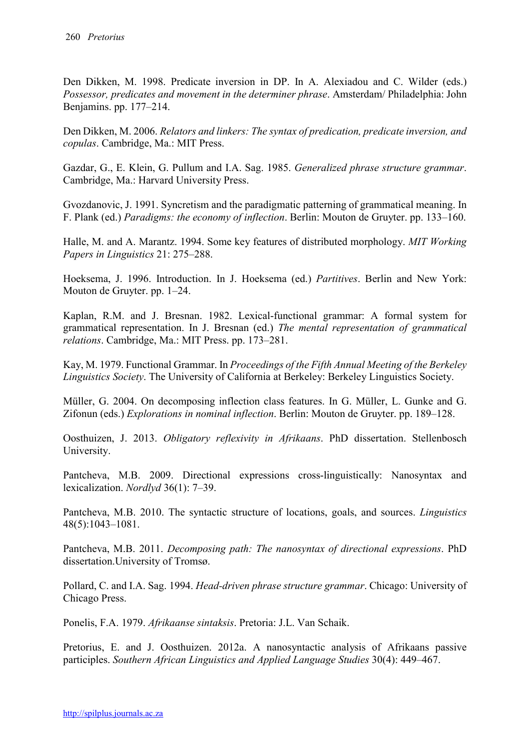Den Dikken, M. 1998. Predicate inversion in DP. In A. Alexiadou and C. Wilder (eds.) *Possessor, predicates and movement in the determiner phrase*. Amsterdam/ Philadelphia: John Benjamins. pp. 177–214.

Den Dikken, M. 2006. *Relators and linkers: The syntax of predication, predicate inversion, and copulas*. Cambridge, Ma.: MIT Press.

Gazdar, G., E. Klein, G. Pullum and I.A. Sag. 1985. *Generalized phrase structure grammar*. Cambridge, Ma.: Harvard University Press.

Gvozdanovic, J. 1991. Syncretism and the paradigmatic patterning of grammatical meaning. In F. Plank (ed.) *Paradigms: the economy of inflection*. Berlin: Mouton de Gruyter. pp. 133–160.

Halle, M. and A. Marantz. 1994. Some key features of distributed morphology. *MIT Working Papers in Linguistics* 21: 275–288.

Hoeksema, J. 1996. Introduction. In J. Hoeksema (ed.) *Partitives*. Berlin and New York: Mouton de Gruyter. pp. 1–24.

Kaplan, R.M. and J. Bresnan. 1982. Lexical-functional grammar: A formal system for grammatical representation. In J. Bresnan (ed.) *The mental representation of grammatical relations*. Cambridge, Ma.: MIT Press. pp. 173–281.

Kay, M. 1979. Functional Grammar. In *Proceedings of the Fifth Annual Meeting of the Berkeley Linguistics Society*. The University of California at Berkeley: Berkeley Linguistics Society.

Müller, G. 2004. On decomposing inflection class features. In G. Müller, L. Gunke and G. Zifonun (eds.) *Explorations in nominal inflection*. Berlin: Mouton de Gruyter. pp. 189–128.

Oosthuizen, J. 2013. *Obligatory reflexivity in Afrikaans*. PhD dissertation. Stellenbosch University.

Pantcheva, M.B. 2009. Directional expressions cross-linguistically: Nanosyntax and lexicalization. *Nordlyd* 36(1): 7–39.

Pantcheva, M.B. 2010. The syntactic structure of locations, goals, and sources. *Linguistics* 48(5):1043–1081.

Pantcheva, M.B. 2011. *Decomposing path: The nanosyntax of directional expressions*. PhD dissertation.University of Tromsø.

Pollard, C. and I.A. Sag. 1994. *Head-driven phrase structure grammar*. Chicago: University of Chicago Press.

Ponelis, F.A. 1979. *Afrikaanse sintaksis*. Pretoria: J.L. Van Schaik.

Pretorius, E. and J. Oosthuizen. 2012a. A nanosyntactic analysis of Afrikaans passive participles. *Southern African Linguistics and Applied Language Studies* 30(4): 449–467.